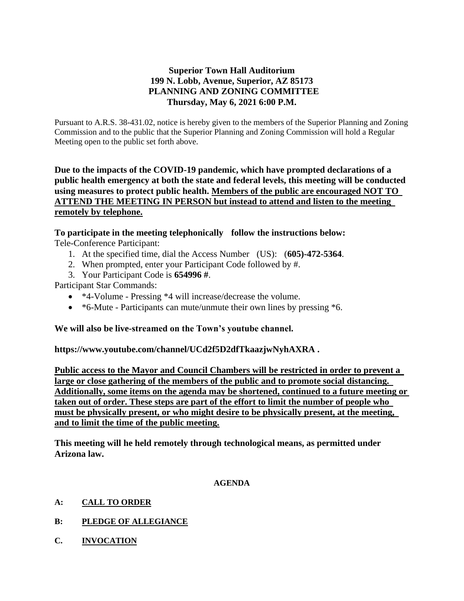## **Superior Town Hall Auditorium 199 N. Lobb, Avenue, Superior, AZ 85173 PLANNING AND ZONING COMMITTEE Thursday, May 6, 2021 6:00 P.M.**

Pursuant to A.R.S. 38-431.02, notice is hereby given to the members of the Superior Planning and Zoning Commission and to the public that the Superior Planning and Zoning Commission will hold a Regular Meeting open to the public set forth above.

**Due to the impacts of the COVID-19 pandemic, which have prompted declarations of a public health emergency at both the state and federal levels, this meeting will be conducted using measures to protect public health. Members of the public are encouraged NOT TO ATTEND THE MEETING IN PERSON but instead to attend and listen to the meeting remotely by telephone.**

# **To participate in the meeting telephonically follow the instructions below:**

Tele-Conference Participant:

- 1. At the specified time, dial the Access Number (US): (**605)-472-5364**.
- 2. When prompted, enter your Participant Code followed by #.
- 3. Your Participant Code is **654996 #**.

Participant Star Commands:

- \*4-Volume Pressing \*4 will increase/decrease the volume.
- \*6-Mute Participants can mute/unmute their own lines by pressing \*6.

## **We will also be live-streamed on the Town's youtube channel.**

**https://www.youtube.com/channel/UCd2f5D2dfTkaazjwNyhAXRA .** 

**Public access to the Mayor and Council Chambers will be restricted in order to prevent a large or close gathering of the members of the public and to promote social distancing. Additionally, some items on the agenda may be shortened, continued to a future meeting or taken out of order. These steps are part of the effort to limit the number of people who must be physically present, or who might desire to be physically present, at the meeting, and to limit the time of the public meeting.**

**This meeting will he held remotely through technological means, as permitted under Arizona law.**

#### **AGENDA**

- **A: CALL TO ORDER**
- **B: PLEDGE OF ALLEGIANCE**
- **C. INVOCATION**